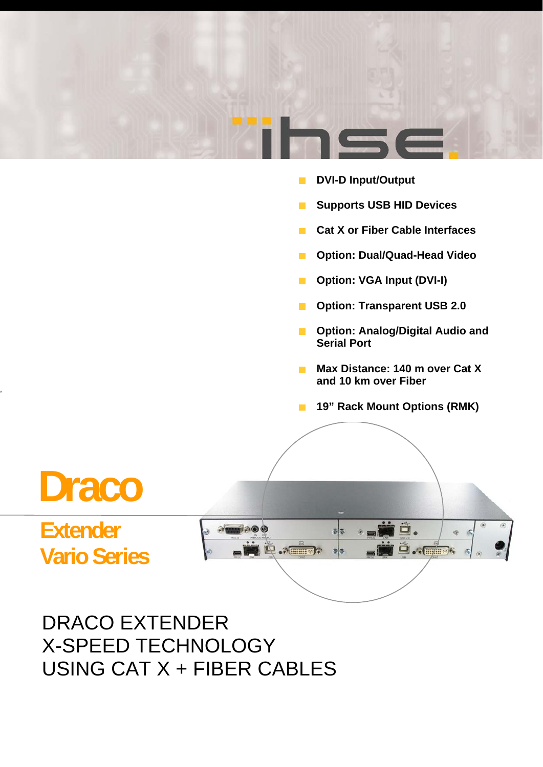

- $\blacksquare$  DVI-D Input/Output
- **E** Supports USB HID Devices
- **Cat X or Fiber Cable Interfaces**
- **<sup>■</sup>** Option: Dual/Quad-Head Video
- **<sup>■</sup>** Option: VGA Input (DVI-I)
- $\blacksquare$  Option: Transparent USB 2.0
- **n** Option: Analog/Digital Audio and **Serial Port**
- **Max Distance: 140 m over Cat X and 10 km over Fiber**
- **19" Rack Mount Options (RMK)**



DRACO EXTENDER X-SPEED TECHNOLOGY USING CAT X + FIBER CABLES

,